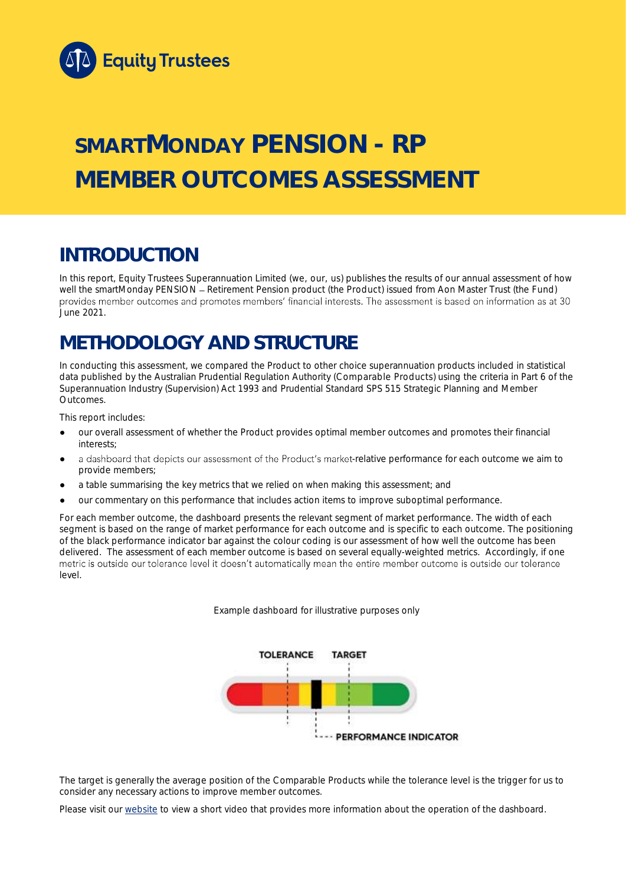

# **SMARTMONDAY PENSION - RP MEMBER OUTCOMES ASSESSMENT**

## **INTRODUCTION**

In this report, Equity Trustees Superannuation Limited (we, our, us) publishes the results of our annual assessment of how well the smartMonday PENSION - Retirement Pension product (the Product) issued from Aon Master Trust (the Fund) provides member outcomes and promotes members' financial interests. The assessment is based on information as at 30 June 2021.

## **METHODOLOGY AND STRUCTURE**

In conducting this assessment, we compared the Product to other choice superannuation products included in statistical data published by the Australian Prudential Regulation Authority (Comparable Products) using the criteria in Part 6 of the *Superannuation Industry (Supervision) Act 1993* and Prudential Standard SPS 515 *Strategic Planning and Member Outcomes*.

This report includes:

- our overall assessment of whether the Product provides optimal member outcomes and promotes their financial interests;
- a dashboard that depicts our assessment of the Product's market-relative performance for each outcome we aim to provide members;
- a table summarising the key metrics that we relied on when making this assessment; and
- our commentary on this performance that includes action items to improve suboptimal performance.

For each member outcome, the dashboard presents the relevant segment of market performance. The width of each segment is based on the range of market performance for each outcome and is specific to each outcome. The positioning of the black performance indicator bar against the colour coding is our assessment of how well the outcome has been delivered. The assessment of each member outcome is based on several equally-weighted metrics. Accordingly, if one metric is outside our tolerance level it doesn't automatically mean the entire member outcome is outside our tolerance level.

*Example dashboard for illustrative purposes only*



The target is generally the average position of the Comparable Products while the tolerance level is the trigger for us to consider any necessary actions to improve member outcomes.

Please visit our [website](https://www.eqt.com.au/superannuation) to view a short video that provides more information about the operation of the dashboard.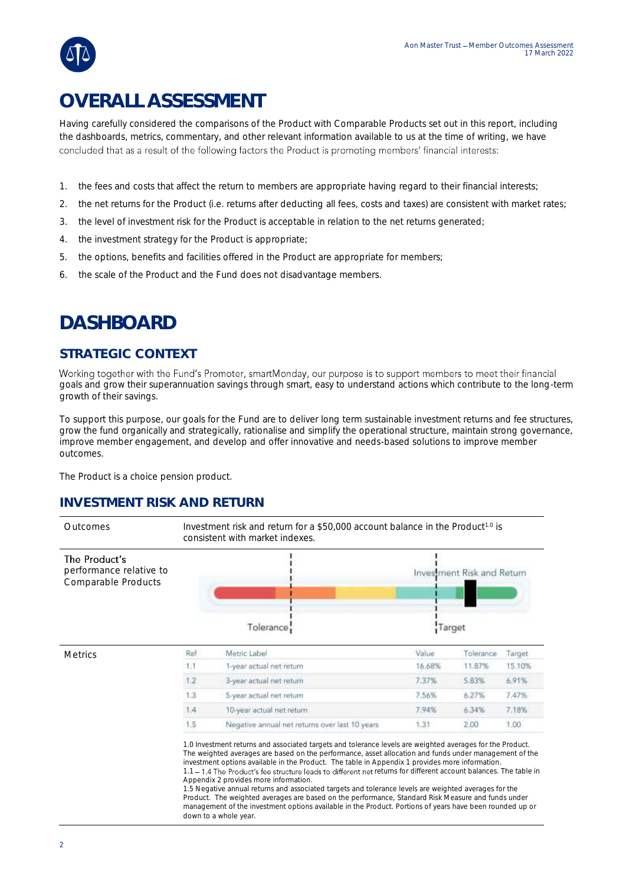## **OVERALL ASSESSMENT**

Having carefully considered the comparisons of the Product with Comparable Products set out in this report, including the dashboards, metrics, commentary, and other relevant information available to us at the time of writing, we have concluded that as a result of the following factors the Product is promoting members' financial interests:

- 1. the fees and costs that affect the return to members are appropriate having regard to their financial interests;
- 2. the net returns for the Product (i.e. returns after deducting all fees, costs and taxes) are consistent with market rates;
- 3. the level of investment risk for the Product is acceptable in relation to the net returns generated;
- 4. the investment strategy for the Product is appropriate;
- 5. the options, benefits and facilities offered in the Product are appropriate for members;
- 6. the scale of the Product and the Fund does not disadvantage members.

## **DASHBOARD**

#### **STRATEGIC CONTEXT**

Working together with the Fund's Promoter, smartMonday, our purpose is to support members to meet their financial goals and grow their superannuation savings through smart, easy to understand actions which contribute to the long-term growth of their savings.

To support this purpose, our goals for the Fund are to deliver long term sustainable investment returns and fee structures, grow the fund organically and strategically, rationalise and simplify the operational structure, maintain strong governance, improve member engagement, and develop and offer innovative and needs-based solutions to improve member outcomes.

The Product is a choice pension product.

#### **INVESTMENT RISK AND RETURN**

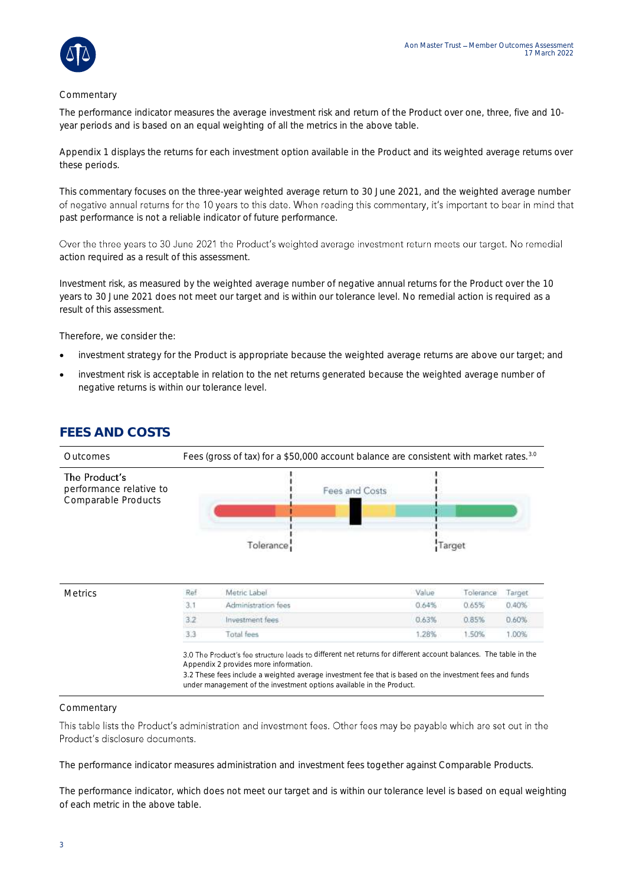#### Commentary

The performance indicator measures the average investment risk and return of the Product over one, three, five and 10 year periods and is based on an equal weighting of all the metrics in the above table.

Appendix 1 displays the returns for each investment option available in the Product and its weighted average returns over these periods.

This commentary focuses on the three-year weighted average return to 30 June 2021, and the weighted average number of negative annual returns for the 10 years to this date. When reading this commentary, it's important to bear in mind that past performance is not a reliable indicator of future performance.

Over the three years to 30 June 2021 the Product's weighted average investment return meets our target. No remedial action required as a result of this assessment.

Investment risk, as measured by the weighted average number of negative annual returns for the Product over the 10 years to 30 June 2021 does not meet our target and is within our tolerance level. No remedial action is required as a result of this assessment.

Therefore, we consider the:

- investment strategy for the Product is appropriate because the weighted average returns are above our target; and
- investment risk is acceptable in relation to the net returns generated because the weighted average number of negative returns is within our tolerance level.

#### **FEES AND COSTS**

| Outcomes                                                        | Fees (gross of tax) for a \$50,000 account balance are consistent with market rates. <sup>3.0</sup> |                                                                                                                                                                                                                                                                                                                                             |        |           |        |  |
|-----------------------------------------------------------------|-----------------------------------------------------------------------------------------------------|---------------------------------------------------------------------------------------------------------------------------------------------------------------------------------------------------------------------------------------------------------------------------------------------------------------------------------------------|--------|-----------|--------|--|
| The Product's<br>performance relative to<br>Comparable Products |                                                                                                     | Fees and Costs<br>Tolerance:                                                                                                                                                                                                                                                                                                                | Target |           |        |  |
| <b>Metrics</b>                                                  | Ref                                                                                                 | Metric Label                                                                                                                                                                                                                                                                                                                                | Value  | Tolerance | Target |  |
|                                                                 | 3.1                                                                                                 | Administration fees                                                                                                                                                                                                                                                                                                                         | 0.64%  | 0.65%     | 0.40%  |  |
|                                                                 | 3.2                                                                                                 | Investment fees                                                                                                                                                                                                                                                                                                                             | 0.63%  | 0.85%     | 0.60%  |  |
|                                                                 | 3.3                                                                                                 | Total fees                                                                                                                                                                                                                                                                                                                                  | 1.28%  | 1.50%     | 1.00%  |  |
|                                                                 |                                                                                                     | 3.0 The Product's fee structure leads to different net returns for different account balances. The table in the<br>Appendix 2 provides more information.<br>3.2 These fees include a weighted average investment fee that is based on the investment fees and funds<br>under management of the investment options available in the Product. |        |           |        |  |

#### Commentary

This table lists the Product's administration and investment fees. Other fees may be payable which are set out in the Product's disclosure documents.

The performance indicator measures administration and investment fees together against Comparable Products.

The performance indicator, which does not meet our target and is within our tolerance level is based on equal weighting of each metric in the above table.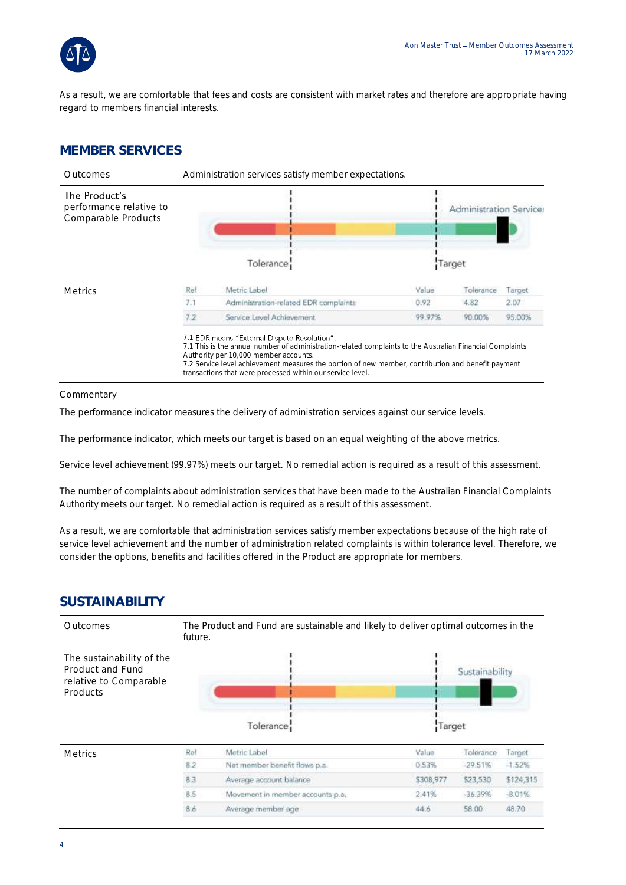

As a result, we are comfortable that fees and costs are consistent with market rates and therefore are appropriate having regard to members financial interests.

#### **MEMBER SERVICES**



**Commentary** 

The performance indicator measures the delivery of administration services against our service levels.

The performance indicator, which meets our target is based on an equal weighting of the above metrics.

Service level achievement (99.97%) meets our target. No remedial action is required as a result of this assessment.

The number of complaints about administration services that have been made to the Australian Financial Complaints Authority meets our target. No remedial action is required as a result of this assessment.

As a result, we are comfortable that administration services satisfy member expectations because of the high rate of service level achievement and the number of administration related complaints is within tolerance level. Therefore, we consider the options, benefits and facilities offered in the Product are appropriate for members.

#### **SUSTAINABILITY**

| Outcomes                                                                            | The Product and Fund are sustainable and likely to deliver optimal outcomes in the<br>future. |                                  |           |                |           |
|-------------------------------------------------------------------------------------|-----------------------------------------------------------------------------------------------|----------------------------------|-----------|----------------|-----------|
| The sustainability of the<br>Product and Fund<br>relative to Comparable<br>Products |                                                                                               | Tolerance:                       | Target    | Sustainability |           |
| <b>Metrics</b>                                                                      | Ref                                                                                           | Metric Label                     | Value     | Tolerance      | Target.   |
|                                                                                     | 8.2                                                                                           | Not member benefit flows p.a.    | 0.53%     | $-29.51%$      | $-1.52%$  |
|                                                                                     | 8.3                                                                                           | Average account balance          | \$308,977 | \$23,530       | \$124,315 |
|                                                                                     | 8.5                                                                                           | Movement in member accounts p.a. | 2.41%     | $-36.39%$      | $-8.01%$  |
|                                                                                     | 8.6                                                                                           | Average member age               | 44.6      | 58.00          | 48.70     |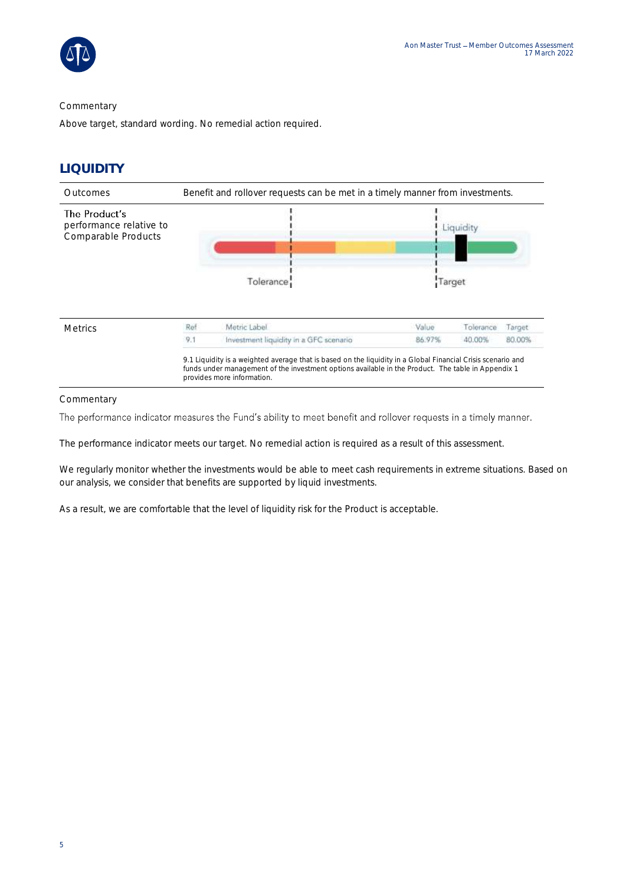

#### **Commentary**

Above target, standard wording. No remedial action required.

#### **LIQUIDITY**



Commentary

The performance indicator measures the Fund's ability to meet benefit and rollover requests in a timely manner.

The performance indicator meets our target. No remedial action is required as a result of this assessment.

We regularly monitor whether the investments would be able to meet cash requirements in extreme situations. Based on our analysis, we consider that benefits are supported by liquid investments.

As a result, we are comfortable that the level of liquidity risk for the Product is acceptable.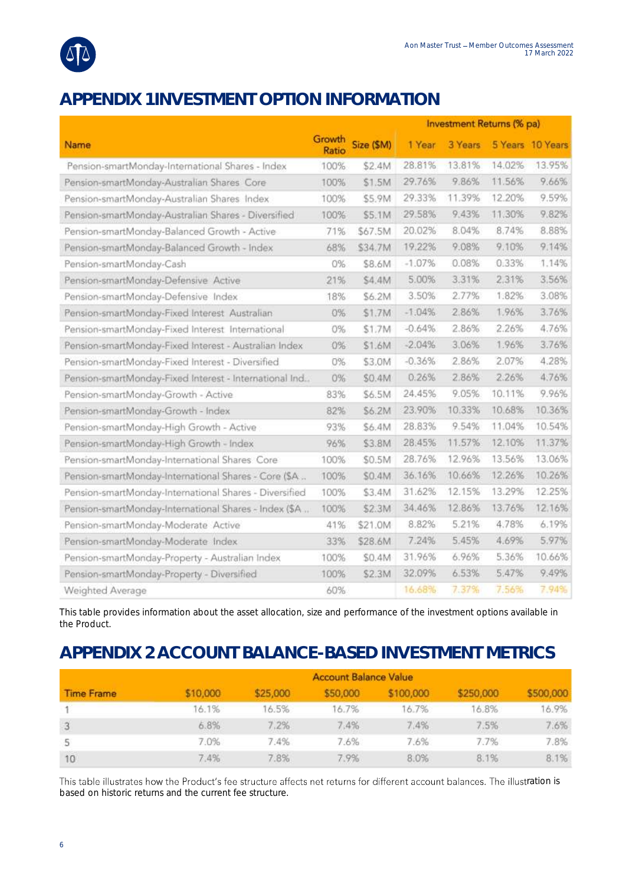

## **APPENDIX 1 INVESTMENT OPTION INFORMATION**

|                                                        |                 |           | Investment Returns (% pa) |         |        |                  |
|--------------------------------------------------------|-----------------|-----------|---------------------------|---------|--------|------------------|
| Name                                                   | Growth<br>Ratio | Size (SM) | 1 Year                    | 3 Years |        | 5 Years 10 Years |
| Pension-smartMonday-International Shares - Index       | 100%            | \$2.4M    | 28.81%                    | 13.81%  | 14.02% | 13.95%           |
| Pension-smartMonday-Australian Shares Core             | 100%            | \$1.5M    | 29.76%                    | 9.86%   | 11.56% | 9.66%            |
| Pension-smartMonday-Australian Shares Index            | 100%            | \$5.9M    | 29.33%                    | 11.39%  | 12.20% | 9.59%            |
| Pension-smartMonday-Australian Shares - Diversified    | 100%            | \$5.1M    | 29.58%                    | 9.43%   | 11.30% | 9.82%            |
| Pension-smartMonday-Balanced Growth - Active           | 71%             | \$67.5M   | 20.02%                    | 8.04%   | 8.74%  | 8.88%            |
| Pension-smartMonday-Balanced Growth - Index            | 68%             | \$34.7M   | 19.22%                    | 9.08%   | 9.10%  | 9.14%            |
| Pension-smartMonday-Cash                               | 0%              | \$8.6M    | $-1.07%$                  | 0.08%   | 0.33%  | 1.14%            |
| Pension-smartMonday-Defensive Active                   | 21%             | \$4.4M    | 5.00%                     | 3.31%   | 2.31%  | 3.56%            |
| Pension-smartMonday-Defensive Index                    | 18%             | \$6.2M    | 3.50%                     | 2.77%   | 1.82%  | 3.08%            |
| Pension-smartMonday-Fixed Interest Australian          | 0%              | \$1.7M    | $-1.04%$                  | 2.86%   | 1.96%  | 3.76%            |
| Pension-smartMonday-Fixed Interest International       | 0%              | \$1.7M    | $-0.64%$                  | 2.86%   | 2.26%  | 4.76%            |
| Pension-smartMonday-Fixed Interest - Australian Index  | 0%              | \$1.6M    | $-2.04%$                  | 3.06%   | 1.96%  | 3.76%            |
| Pension-smartMonday-Fixed Interest - Diversified       | 0%              | \$3.0M    | $-0.36%$                  | 2.86%   | 2.07%  | 4.28%            |
| Pension-smartMonday-Fixed Interest - International Ind | 0%              | \$0.4M    | 0.26%                     | 2.86%   | 2.26%  | 4.76%            |
| Pension-smartMonday-Growth - Active                    | 83%             | \$6.5M    | 24.45%                    | 9.05%   | 10.11% | 9.96%            |
| Pension-smartMonday-Growth - Index                     | 82%             | \$6.2M    | 23.90%                    | 10.33%  | 10.68% | 10.36%           |
| Pension-smartMonday-High Growth - Active               | 93%             | \$6.4M    | 28.83%                    | 9.54%   | 11.04% | 10.54%           |
| Pension-smartMonday-High Growth - Index                | 96%             | \$3.8M    | 28.45%                    | 11.57%  | 12.10% | 11.37%           |
| Pension-smartMonday-International Shares Core          | 100%            | \$0.5M    | 28.76%                    | 12.96%  | 13.56% | 13.06%           |
| Pension-smartMonday-International Shares - Core (SA.,  | 100%            | \$0.4M    | 36.16%                    | 10.66%  | 12.26% | 10.26%           |
| Pension-smartMonday-International Shares - Diversified | 100%            | \$3.4M    | 31.62%                    | 12.15%  | 13.29% | 12.25%           |
| Pension-smartMonday-International Shares - Index (\$A  | 100%            | \$2.3M    | 34.46%                    | 12.86%  | 13.76% | 12.16%           |
| Pension-smartMonday-Moderate Active                    | 41%             | \$21.0M   | 8.82%                     | 5.21%   | 4.78%  | 6.19%            |
| Pension-smartMonday-Moderate Index                     | 33%             | \$28.6M   | 7.24%                     | 5.45%   | 4.69%  | 5.97%            |
| Pension-smartMonday-Property - Australian Index        | 100%            | \$0.4M    | 31.96%                    | 6.96%   | 5.36%  | 10.66%           |
| Pension-smartMonday-Property - Diversified             | 100%            | \$2.3M    | 32.09%                    | 6.53%   | 5.47%  | 9.49%            |
| Weighted Average                                       | 60%             |           | 16.68%                    | 7.37%   | 7.56%  | 7.94%            |

This table provides information about the asset allocation, size and performance of the investment options available in the Product.

### **APPENDIX 2 ACCOUNT BALANCE-BASED INVESTMENT METRICS**

| <b>Time Frame</b> | <b>Account Balance Value</b> |          |          |           |           |           |
|-------------------|------------------------------|----------|----------|-----------|-----------|-----------|
|                   | \$10,000                     | \$25,000 | \$50,000 | \$100,000 | \$250,000 | \$500,000 |
|                   | 16.1%                        | 16.5%    | 16.7%    | 16.7%     | 16.8%     | 16.9%     |
|                   | 6.8%                         | 7.2%     | 7.4%     | 7.4%      | 7.5%      | 7.6%      |
| 5                 | 7.0%                         | 7.4%     | 7.6%     | 7.6%      | 7.7%      | 7.8%      |
| 10                | 7.4%                         | 7.8%     | 7.9%     | 8.0%      | 8.1%      | 8.1%      |

This table illustrates how the Product's fee structure affects net returns for different account balances. The illustration is based on historic returns and the current fee structure.